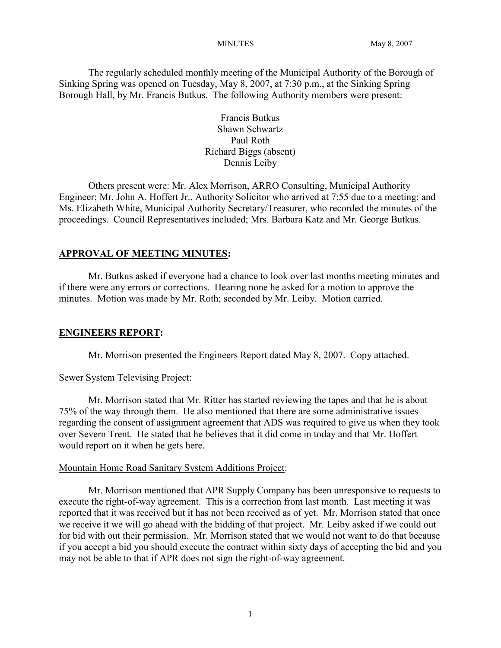The regularly scheduled monthly meeting of the Municipal Authority of the Borough of Sinking Spring was opened on Tuesday, May 8, 2007, at 7:30 p.m., at the Sinking Spring Borough Hall, by Mr. Francis Butkus. The following Authority members were present:

> Francis Butkus Shawn Schwartz Paul Roth Richard Biggs (absent) Dennis Leiby

Others present were: Mr. Alex Morrison, ARRO Consulting, Municipal Authority Engineer; Mr. John A. Hoffert Jr., Authority Solicitor who arrived at 7:55 due to a meeting; and Ms. Elizabeth White, Municipal Authority Secretary/Treasurer, who recorded the minutes of the proceedings. Council Representatives included; Mrs. Barbara Katz and Mr. George Butkus.

## **APPROVAL OF MEETING MINUTES:**

Mr. Butkus asked if everyone had a chance to look over last months meeting minutes and if there were any errors or corrections. Hearing none he asked for a motion to approve the minutes. Motion was made by Mr. Roth; seconded by Mr. Leiby. Motion carried.

#### **ENGINEERS REPORT:**

Mr. Morrison presented the Engineers Report dated May 8, 2007. Copy attached.

#### Sewer System Televising Project:

Mr. Morrison stated that Mr. Ritter has started reviewing the tapes and that he is about 75% of the way through them. He also mentioned that there are some administrative issues regarding the consent of assignment agreement that ADS was required to give us when they took over Severn Trent. He stated that he believes that it did come in today and that Mr. Hoffert would report on it when he gets here.

#### Mountain Home Road Sanitary System Additions Project:

Mr. Morrison mentioned that APR Supply Company has been unresponsive to requests to execute the right-of-way agreement. This is a correction from last month. Last meeting it was reported that it was received but it has not been received as of yet. Mr. Morrison stated that once we receive it we will go ahead with the bidding of that project. Mr. Leiby asked if we could out for bid with out their permission. Mr. Morrison stated that we would not want to do that because if you accept a bid you should execute the contract within sixty days of accepting the bid and you may not be able to that if APR does not sign the right-of-way agreement.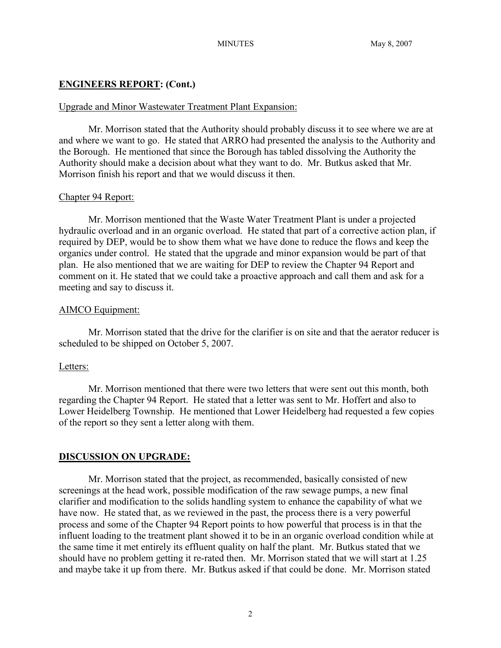## **ENGINEERS REPORT: (Cont.)**

#### Upgrade and Minor Wastewater Treatment Plant Expansion:

Mr. Morrison stated that the Authority should probably discuss it to see where we are at and where we want to go. He stated that ARRO had presented the analysis to the Authority and the Borough. He mentioned that since the Borough has tabled dissolving the Authority the Authority should make a decision about what they want to do. Mr. Butkus asked that Mr. Morrison finish his report and that we would discuss it then.

#### Chapter 94 Report:

Mr. Morrison mentioned that the Waste Water Treatment Plant is under a projected hydraulic overload and in an organic overload. He stated that part of a corrective action plan, if required by DEP, would be to show them what we have done to reduce the flows and keep the organics under control. He stated that the upgrade and minor expansion would be part of that plan. He also mentioned that we are waiting for DEP to review the Chapter 94 Report and comment on it. He stated that we could take a proactive approach and call them and ask for a meeting and say to discuss it.

## AIMCO Equipment:

Mr. Morrison stated that the drive for the clarifier is on site and that the aerator reducer is scheduled to be shipped on October 5, 2007.

## Letters:

Mr. Morrison mentioned that there were two letters that were sent out this month, both regarding the Chapter 94 Report. He stated that a letter was sent to Mr. Hoffert and also to Lower Heidelberg Township. He mentioned that Lower Heidelberg had requested a few copies of the report so they sent a letter along with them.

## **DISCUSSION ON UPGRADE:**

Mr. Morrison stated that the project, as recommended, basically consisted of new screenings at the head work, possible modification of the raw sewage pumps, a new final clarifier and modification to the solids handling system to enhance the capability of what we have now. He stated that, as we reviewed in the past, the process there is a very powerful process and some of the Chapter 94 Report points to how powerful that process is in that the influent loading to the treatment plant showed it to be in an organic overload condition while at the same time it met entirely its effluent quality on half the plant. Mr. Butkus stated that we should have no problem getting it re-rated then. Mr. Morrison stated that we will start at 1.25 and maybe take it up from there. Mr. Butkus asked if that could be done. Mr. Morrison stated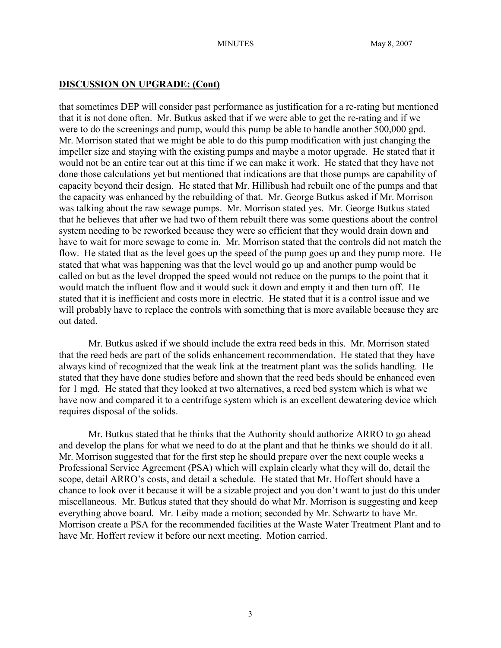## **DISCUSSION ON UPGRADE: (Cont)**

that sometimes DEP will consider past performance as justification for a re-rating but mentioned that it is not done often. Mr. Butkus asked that if we were able to get the re-rating and if we were to do the screenings and pump, would this pump be able to handle another 500,000 gpd. Mr. Morrison stated that we might be able to do this pump modification with just changing the impeller size and staying with the existing pumps and maybe a motor upgrade. He stated that it would not be an entire tear out at this time if we can make it work. He stated that they have not done those calculations yet but mentioned that indications are that those pumps are capability of capacity beyond their design. He stated that Mr. Hillibush had rebuilt one of the pumps and that the capacity was enhanced by the rebuilding of that. Mr. George Butkus asked if Mr. Morrison was talking about the raw sewage pumps. Mr. Morrison stated yes. Mr. George Butkus stated that he believes that after we had two of them rebuilt there was some questions about the control system needing to be reworked because they were so efficient that they would drain down and have to wait for more sewage to come in. Mr. Morrison stated that the controls did not match the flow. He stated that as the level goes up the speed of the pump goes up and they pump more. He stated that what was happening was that the level would go up and another pump would be called on but as the level dropped the speed would not reduce on the pumps to the point that it would match the influent flow and it would suck it down and empty it and then turn off. He stated that it is inefficient and costs more in electric. He stated that it is a control issue and we will probably have to replace the controls with something that is more available because they are out dated.

Mr. Butkus asked if we should include the extra reed beds in this. Mr. Morrison stated that the reed beds are part of the solids enhancement recommendation. He stated that they have always kind of recognized that the weak link at the treatment plant was the solids handling. He stated that they have done studies before and shown that the reed beds should be enhanced even for 1 mgd. He stated that they looked at two alternatives, a reed bed system which is what we have now and compared it to a centrifuge system which is an excellent dewatering device which requires disposal of the solids.

Mr. Butkus stated that he thinks that the Authority should authorize ARRO to go ahead and develop the plans for what we need to do at the plant and that he thinks we should do it all. Mr. Morrison suggested that for the first step he should prepare over the next couple weeks a Professional Service Agreement (PSA) which will explain clearly what they will do, detail the scope, detail ARRO's costs, and detail a schedule. He stated that Mr. Hoffert should have a chance to look over it because it will be a sizable project and you don't want to just do this under miscellaneous. Mr. Butkus stated that they should do what Mr. Morrison is suggesting and keep everything above board. Mr. Leiby made a motion; seconded by Mr. Schwartz to have Mr. Morrison create a PSA for the recommended facilities at the Waste Water Treatment Plant and to have Mr. Hoffert review it before our next meeting. Motion carried.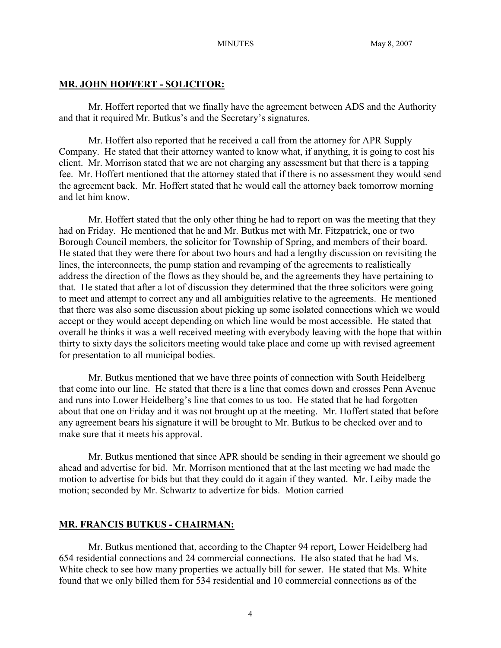#### **MR. JOHN HOFFERT - SOLICITOR:**

Mr. Hoffert reported that we finally have the agreement between ADS and the Authority and that it required Mr. Butkus's and the Secretary's signatures.

Mr. Hoffert also reported that he received a call from the attorney for APR Supply Company. He stated that their attorney wanted to know what, if anything, it is going to cost his client. Mr. Morrison stated that we are not charging any assessment but that there is a tapping fee. Mr. Hoffert mentioned that the attorney stated that if there is no assessment they would send the agreement back. Mr. Hoffert stated that he would call the attorney back tomorrow morning and let him know.

Mr. Hoffert stated that the only other thing he had to report on was the meeting that they had on Friday. He mentioned that he and Mr. Butkus met with Mr. Fitzpatrick, one or two Borough Council members, the solicitor for Township of Spring, and members of their board. He stated that they were there for about two hours and had a lengthy discussion on revisiting the lines, the interconnects, the pump station and revamping of the agreements to realistically address the direction of the flows as they should be, and the agreements they have pertaining to that. He stated that after a lot of discussion they determined that the three solicitors were going to meet and attempt to correct any and all ambiguities relative to the agreements. He mentioned that there was also some discussion about picking up some isolated connections which we would accept or they would accept depending on which line would be most accessible. He stated that overall he thinks it was a well received meeting with everybody leaving with the hope that within thirty to sixty days the solicitors meeting would take place and come up with revised agreement for presentation to all municipal bodies.

Mr. Butkus mentioned that we have three points of connection with South Heidelberg that come into our line. He stated that there is a line that comes down and crosses Penn Avenue and runs into Lower Heidelberg's line that comes to us too. He stated that he had forgotten about that one on Friday and it was not brought up at the meeting. Mr. Hoffert stated that before any agreement bears his signature it will be brought to Mr. Butkus to be checked over and to make sure that it meets his approval.

Mr. Butkus mentioned that since APR should be sending in their agreement we should go ahead and advertise for bid. Mr. Morrison mentioned that at the last meeting we had made the motion to advertise for bids but that they could do it again if they wanted. Mr. Leiby made the motion; seconded by Mr. Schwartz to advertize for bids. Motion carried

#### **MR. FRANCIS BUTKUS - CHAIRMAN:**

Mr. Butkus mentioned that, according to the Chapter 94 report, Lower Heidelberg had 654 residential connections and 24 commercial connections. He also stated that he had Ms. White check to see how many properties we actually bill for sewer. He stated that Ms. White found that we only billed them for 534 residential and 10 commercial connections as of the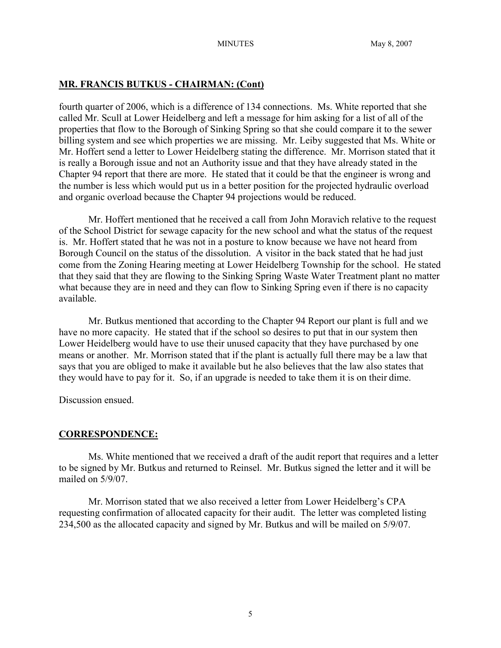## **MR. FRANCIS BUTKUS - CHAIRMAN: (Cont)**

fourth quarter of 2006, which is a difference of 134 connections. Ms. White reported that she called Mr. Scull at Lower Heidelberg and left a message for him asking for a list of all of the properties that flow to the Borough of Sinking Spring so that she could compare it to the sewer billing system and see which properties we are missing. Mr. Leiby suggested that Ms. White or Mr. Hoffert send a letter to Lower Heidelberg stating the difference. Mr. Morrison stated that it is really a Borough issue and not an Authority issue and that they have already stated in the Chapter 94 report that there are more. He stated that it could be that the engineer is wrong and the number is less which would put us in a better position for the projected hydraulic overload and organic overload because the Chapter 94 projections would be reduced.

Mr. Hoffert mentioned that he received a call from John Moravich relative to the request of the School District for sewage capacity for the new school and what the status of the request is. Mr. Hoffert stated that he was not in a posture to know because we have not heard from Borough Council on the status of the dissolution. A visitor in the back stated that he had just come from the Zoning Hearing meeting at Lower Heidelberg Township for the school. He stated that they said that they are flowing to the Sinking Spring Waste Water Treatment plant no matter what because they are in need and they can flow to Sinking Spring even if there is no capacity available.

Mr. Butkus mentioned that according to the Chapter 94 Report our plant is full and we have no more capacity. He stated that if the school so desires to put that in our system then Lower Heidelberg would have to use their unused capacity that they have purchased by one means or another. Mr. Morrison stated that if the plant is actually full there may be a law that says that you are obliged to make it available but he also believes that the law also states that they would have to pay for it. So, if an upgrade is needed to take them it is on their dime.

Discussion ensued.

## **CORRESPONDENCE:**

Ms. White mentioned that we received a draft of the audit report that requires and a letter to be signed by Mr. Butkus and returned to Reinsel. Mr. Butkus signed the letter and it will be mailed on 5/9/07

Mr. Morrison stated that we also received a letter from Lower Heidelberg's CPA requesting confirmation of allocated capacity for their audit. The letter was completed listing 234,500 as the allocated capacity and signed by Mr. Butkus and will be mailed on 5/9/07.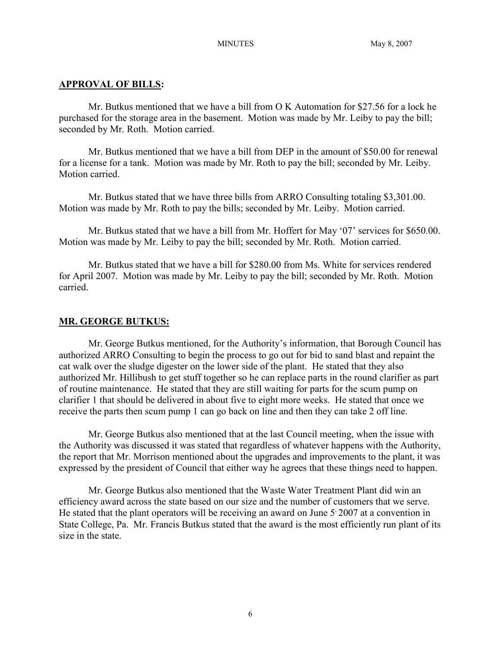#### **APPROVAL OF BILLS:**

Mr. Butkus mentioned that we have a bill from O K Automation for \$27.56 for a lock he purchased for the storage area in the basement. Motion was made by Mr. Leiby to pay the bill; seconded by Mr. Roth. Motion carried.

Mr. Butkus mentioned that we have a bill from DEP in the amount of \$50.00 for renewal for a license for a tank. Motion was made by Mr. Roth to pay the bill; seconded by Mr. Leiby. Motion carried.

Mr. Butkus stated that we have three bills from ARRO Consulting totaling \$3,301.00. Motion was made by Mr. Roth to pay the bills; seconded by Mr. Leiby. Motion carried.

Mr. Butkus stated that we have a bill from Mr. Hoffert for May '07' services for \$650.00. Motion was made by Mr. Leiby to pay the bill; seconded by Mr. Roth. Motion carried.

Mr. Butkus stated that we have a bill for \$280.00 from Ms. White for services rendered for April 2007. Motion was made by Mr. Leiby to pay the bill; seconded by Mr. Roth. Motion carried.

#### **MR. GEORGE BUTKUS:**

Mr. George Butkus mentioned, for the Authority's information, that Borough Council has authorized ARRO Consulting to begin the process to go out for bid to sand blast and repaint the cat walk over the sludge digester on the lower side of the plant. He stated that they also authorized Mr. Hillibush to get stuff together so he can replace parts in the round clarifier as part of routine maintenance. He stated that they are still waiting for parts for the scum pump on clarifier 1 that should be delivered in about five to eight more weeks. He stated that once we receive the parts then scum pump 1 can go back on line and then they can take 2 off line.

Mr. George Butkus also mentioned that at the last Council meeting, when the issue with the Authority was discussed it was stated that regardless of whatever happens with the Authority, the report that Mr. Morrison mentioned about the upgrades and improvements to the plant, it was expressed by the president of Council that either way he agrees that these things need to happen.

Mr. George Butkus also mentioned that the Waste Water Treatment Plant did win an efficiency award across the state based on our size and the number of customers that we serve. He stated that the plant operators will be receiving an award on June  $5'$  2007 at a convention in State College, Pa. Mr. Francis Butkus stated that the award is the most efficiently run plant of its size in the state.